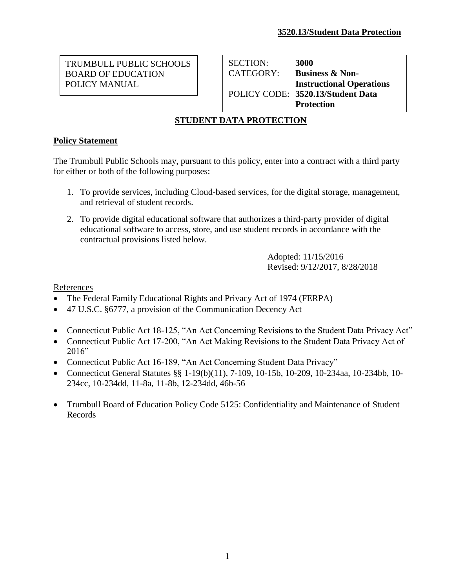TRUMBULL PUBLIC SCHOOLS BOARD OF EDUCATION POLICY MANUAL

SECTION: **3000** CATEGORY: **Business & Non-Instructional Operations** POLICY CODE: **3520.13/Student Data Protection**

# **STUDENT DATA PROTECTION**

## **Policy Statement**

The Trumbull Public Schools may, pursuant to this policy, enter into a contract with a third party for either or both of the following purposes:

- 1. To provide services, including Cloud-based services, for the digital storage, management, and retrieval of student records.
- 2. To provide digital educational software that authorizes a third-party provider of digital educational software to access, store, and use student records in accordance with the contractual provisions listed below.

Adopted: 11/15/2016 Revised: 9/12/2017, 8/28/2018

References

- The Federal Family Educational Rights and Privacy Act of 1974 (FERPA)
- 47 U.S.C. §6777, a provision of the Communication Decency Act
- Connecticut Public Act 18-125, "An Act Concerning Revisions to the Student Data Privacy Act"
- Connecticut Public Act 17-200, "An Act Making Revisions to the Student Data Privacy Act of 2016"
- Connecticut Public Act 16-189, "An Act Concerning Student Data Privacy"
- Connecticut General Statutes §§ 1-19(b)(11), 7-109, 10-15b, 10-209, 10-234aa, 10-234bb, 10-234cc, 10-234dd, 11-8a, 11-8b, 12-234dd, 46b-56
- Trumbull Board of Education Policy Code 5125: Confidentiality and Maintenance of Student Records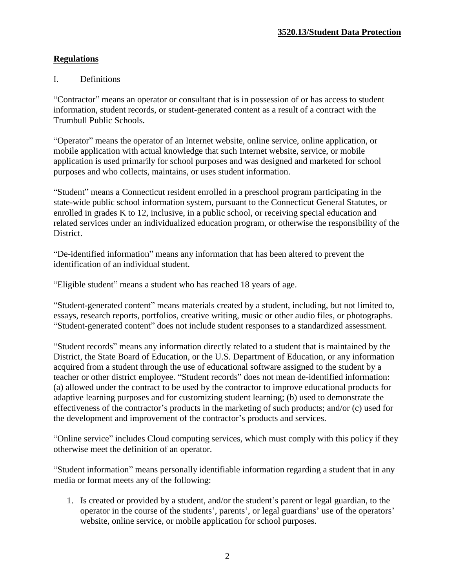## **Regulations**

#### I. Definitions

"Contractor" means an operator or consultant that is in possession of or has access to student information, student records, or student-generated content as a result of a contract with the Trumbull Public Schools.

"Operator" means the operator of an Internet website, online service, online application, or mobile application with actual knowledge that such Internet website, service, or mobile application is used primarily for school purposes and was designed and marketed for school purposes and who collects, maintains, or uses student information.

"Student" means a Connecticut resident enrolled in a preschool program participating in the state-wide public school information system, pursuant to the Connecticut General Statutes, or enrolled in grades K to 12, inclusive, in a public school, or receiving special education and related services under an individualized education program, or otherwise the responsibility of the District.

"De-identified information" means any information that has been altered to prevent the identification of an individual student.

"Eligible student" means a student who has reached 18 years of age.

"Student-generated content" means materials created by a student, including, but not limited to, essays, research reports, portfolios, creative writing, music or other audio files, or photographs. "Student-generated content" does not include student responses to a standardized assessment.

"Student records" means any information directly related to a student that is maintained by the District, the State Board of Education, or the U.S. Department of Education, or any information acquired from a student through the use of educational software assigned to the student by a teacher or other district employee. "Student records" does not mean de-identified information: (a) allowed under the contract to be used by the contractor to improve educational products for adaptive learning purposes and for customizing student learning; (b) used to demonstrate the effectiveness of the contractor's products in the marketing of such products; and/or (c) used for the development and improvement of the contractor's products and services.

"Online service" includes Cloud computing services, which must comply with this policy if they otherwise meet the definition of an operator.

"Student information" means personally identifiable information regarding a student that in any media or format meets any of the following:

1. Is created or provided by a student, and/or the student's parent or legal guardian, to the operator in the course of the students', parents', or legal guardians' use of the operators' website, online service, or mobile application for school purposes.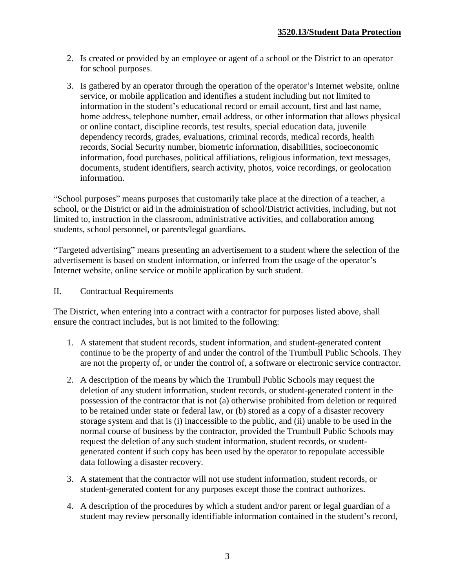- 2. Is created or provided by an employee or agent of a school or the District to an operator for school purposes.
- 3. Is gathered by an operator through the operation of the operator's Internet website, online service, or mobile application and identifies a student including but not limited to information in the student's educational record or email account, first and last name, home address, telephone number, email address, or other information that allows physical or online contact, discipline records, test results, special education data, juvenile dependency records, grades, evaluations, criminal records, medical records, health records, Social Security number, biometric information, disabilities, socioeconomic information, food purchases, political affiliations, religious information, text messages, documents, student identifiers, search activity, photos, voice recordings, or geolocation information.

"School purposes" means purposes that customarily take place at the direction of a teacher, a school, or the District or aid in the administration of school/District activities, including, but not limited to, instruction in the classroom, administrative activities, and collaboration among students, school personnel, or parents/legal guardians.

"Targeted advertising" means presenting an advertisement to a student where the selection of the advertisement is based on student information, or inferred from the usage of the operator's Internet website, online service or mobile application by such student.

II. Contractual Requirements

The District, when entering into a contract with a contractor for purposes listed above, shall ensure the contract includes, but is not limited to the following:

- 1. A statement that student records, student information, and student-generated content continue to be the property of and under the control of the Trumbull Public Schools. They are not the property of, or under the control of, a software or electronic service contractor.
- 2. A description of the means by which the Trumbull Public Schools may request the deletion of any student information, student records, or student-generated content in the possession of the contractor that is not (a) otherwise prohibited from deletion or required to be retained under state or federal law, or (b) stored as a copy of a disaster recovery storage system and that is (i) inaccessible to the public, and (ii) unable to be used in the normal course of business by the contractor, provided the Trumbull Public Schools may request the deletion of any such student information, student records, or studentgenerated content if such copy has been used by the operator to repopulate accessible data following a disaster recovery.
- 3. A statement that the contractor will not use student information, student records, or student-generated content for any purposes except those the contract authorizes.
- 4. A description of the procedures by which a student and/or parent or legal guardian of a student may review personally identifiable information contained in the student's record,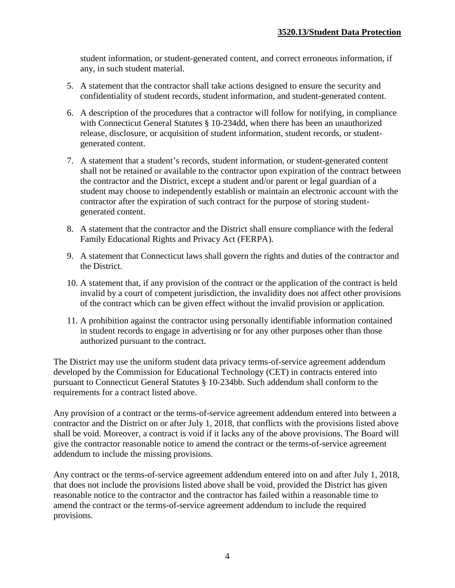student information, or student-generated content, and correct erroneous information, if any, in such student material.

- 5. A statement that the contractor shall take actions designed to ensure the security and confidentiality of student records, student information, and student-generated content.
- 6. A description of the procedures that a contractor will follow for notifying, in compliance with Connecticut General Statutes § 10-234dd, when there has been an unauthorized release, disclosure, or acquisition of student information, student records, or studentgenerated content.
- 7. A statement that a student's records, student information, or student-generated content shall not be retained or available to the contractor upon expiration of the contract between the contractor and the District, except a student and/or parent or legal guardian of a student may choose to independently establish or maintain an electronic account with the contractor after the expiration of such contract for the purpose of storing studentgenerated content.
- 8. A statement that the contractor and the District shall ensure compliance with the federal Family Educational Rights and Privacy Act (FERPA).
- 9. A statement that Connecticut laws shall govern the rights and duties of the contractor and the District.
- 10. A statement that, if any provision of the contract or the application of the contract is held invalid by a court of competent jurisdiction, the invalidity does not affect other provisions of the contract which can be given effect without the invalid provision or application.
- 11. A prohibition against the contractor using personally identifiable information contained in student records to engage in advertising or for any other purposes other than those authorized pursuant to the contract.

The District may use the uniform student data privacy terms-of-service agreement addendum developed by the Commission for Educational Technology (CET) in contracts entered into pursuant to Connecticut General Statutes § 10-234bb. Such addendum shall conform to the requirements for a contract listed above.

Any provision of a contract or the terms-of-service agreement addendum entered into between a contractor and the District on or after July 1, 2018, that conflicts with the provisions listed above shall be void. Moreover, a contract is void if it lacks any of the above provisions. The Board will give the contractor reasonable notice to amend the contract or the terms-of-service agreement addendum to include the missing provisions.

Any contract or the terms-of-service agreement addendum entered into on and after July 1, 2018, that does not include the provisions listed above shall be void, provided the District has given reasonable notice to the contractor and the contractor has failed within a reasonable time to amend the contract or the terms-of-service agreement addendum to include the required provisions.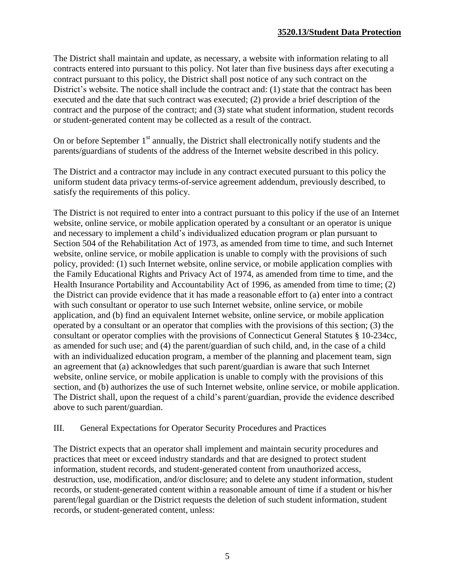The District shall maintain and update, as necessary, a website with information relating to all contracts entered into pursuant to this policy. Not later than five business days after executing a contract pursuant to this policy, the District shall post notice of any such contract on the District's website. The notice shall include the contract and: (1) state that the contract has been executed and the date that such contract was executed; (2) provide a brief description of the contract and the purpose of the contract; and (3) state what student information, student records or student-generated content may be collected as a result of the contract.

On or before September  $1<sup>st</sup>$  annually, the District shall electronically notify students and the parents/guardians of students of the address of the Internet website described in this policy.

The District and a contractor may include in any contract executed pursuant to this policy the uniform student data privacy terms-of-service agreement addendum, previously described, to satisfy the requirements of this policy.

The District is not required to enter into a contract pursuant to this policy if the use of an Internet website, online service, or mobile application operated by a consultant or an operator is unique and necessary to implement a child's individualized education program or plan pursuant to Section 504 of the Rehabilitation Act of 1973, as amended from time to time, and such Internet website, online service, or mobile application is unable to comply with the provisions of such policy, provided: (1) such Internet website, online service, or mobile application complies with the Family Educational Rights and Privacy Act of 1974, as amended from time to time, and the Health Insurance Portability and Accountability Act of 1996, as amended from time to time; (2) the District can provide evidence that it has made a reasonable effort to (a) enter into a contract with such consultant or operator to use such Internet website, online service, or mobile application, and (b) find an equivalent Internet website, online service, or mobile application operated by a consultant or an operator that complies with the provisions of this section; (3) the consultant or operator complies with the provisions of Connecticut General Statutes § 10-234cc, as amended for such use; and (4) the parent/guardian of such child, and, in the case of a child with an individualized education program, a member of the planning and placement team, sign an agreement that (a) acknowledges that such parent/guardian is aware that such Internet website, online service, or mobile application is unable to comply with the provisions of this section, and (b) authorizes the use of such Internet website, online service, or mobile application. The District shall, upon the request of a child's parent/guardian, provide the evidence described above to such parent/guardian.

### III. General Expectations for Operator Security Procedures and Practices

The District expects that an operator shall implement and maintain security procedures and practices that meet or exceed industry standards and that are designed to protect student information, student records, and student-generated content from unauthorized access, destruction, use, modification, and/or disclosure; and to delete any student information, student records, or student-generated content within a reasonable amount of time if a student or his/her parent/legal guardian or the District requests the deletion of such student information, student records, or student-generated content, unless: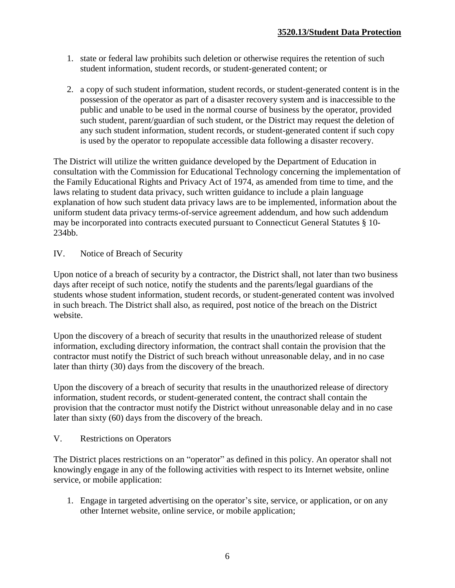- 1. state or federal law prohibits such deletion or otherwise requires the retention of such student information, student records, or student-generated content; or
- 2. a copy of such student information, student records, or student-generated content is in the possession of the operator as part of a disaster recovery system and is inaccessible to the public and unable to be used in the normal course of business by the operator, provided such student, parent/guardian of such student, or the District may request the deletion of any such student information, student records, or student-generated content if such copy is used by the operator to repopulate accessible data following a disaster recovery.

The District will utilize the written guidance developed by the Department of Education in consultation with the Commission for Educational Technology concerning the implementation of the Family Educational Rights and Privacy Act of 1974, as amended from time to time, and the laws relating to student data privacy, such written guidance to include a plain language explanation of how such student data privacy laws are to be implemented, information about the uniform student data privacy terms-of-service agreement addendum, and how such addendum may be incorporated into contracts executed pursuant to Connecticut General Statutes § 10- 234bb.

IV. Notice of Breach of Security

Upon notice of a breach of security by a contractor, the District shall, not later than two business days after receipt of such notice, notify the students and the parents/legal guardians of the students whose student information, student records, or student-generated content was involved in such breach. The District shall also, as required, post notice of the breach on the District website.

Upon the discovery of a breach of security that results in the unauthorized release of student information, excluding directory information, the contract shall contain the provision that the contractor must notify the District of such breach without unreasonable delay, and in no case later than thirty (30) days from the discovery of the breach.

Upon the discovery of a breach of security that results in the unauthorized release of directory information, student records, or student-generated content, the contract shall contain the provision that the contractor must notify the District without unreasonable delay and in no case later than sixty (60) days from the discovery of the breach.

V. Restrictions on Operators

The District places restrictions on an "operator" as defined in this policy. An operator shall not knowingly engage in any of the following activities with respect to its Internet website, online service, or mobile application:

1. Engage in targeted advertising on the operator's site, service, or application, or on any other Internet website, online service, or mobile application;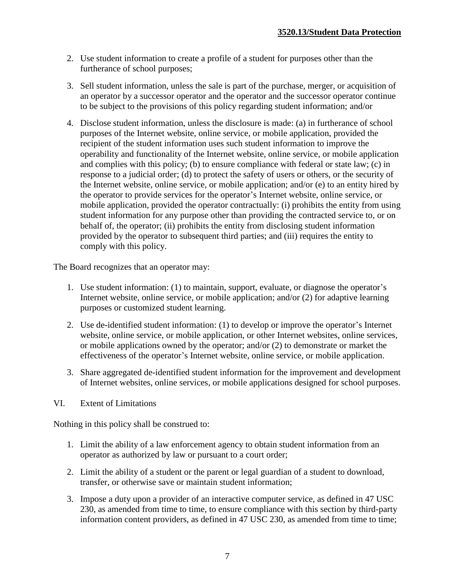- 2. Use student information to create a profile of a student for purposes other than the furtherance of school purposes;
- 3. Sell student information, unless the sale is part of the purchase, merger, or acquisition of an operator by a successor operator and the operator and the successor operator continue to be subject to the provisions of this policy regarding student information; and/or
- 4. Disclose student information, unless the disclosure is made: (a) in furtherance of school purposes of the Internet website, online service, or mobile application, provided the recipient of the student information uses such student information to improve the operability and functionality of the Internet website, online service, or mobile application and complies with this policy; (b) to ensure compliance with federal or state law; (c) in response to a judicial order; (d) to protect the safety of users or others, or the security of the Internet website, online service, or mobile application; and/or (e) to an entity hired by the operator to provide services for the operator's Internet website, online service, or mobile application, provided the operator contractually: (i) prohibits the entity from using student information for any purpose other than providing the contracted service to, or on behalf of, the operator; (ii) prohibits the entity from disclosing student information provided by the operator to subsequent third parties; and (iii) requires the entity to comply with this policy.

The Board recognizes that an operator may:

- 1. Use student information: (1) to maintain, support, evaluate, or diagnose the operator's Internet website, online service, or mobile application; and/or (2) for adaptive learning purposes or customized student learning.
- 2. Use de-identified student information: (1) to develop or improve the operator's Internet website, online service, or mobile application, or other Internet websites, online services, or mobile applications owned by the operator; and/or (2) to demonstrate or market the effectiveness of the operator's Internet website, online service, or mobile application.
- 3. Share aggregated de-identified student information for the improvement and development of Internet websites, online services, or mobile applications designed for school purposes.
- VI. Extent of Limitations

Nothing in this policy shall be construed to:

- 1. Limit the ability of a law enforcement agency to obtain student information from an operator as authorized by law or pursuant to a court order;
- 2. Limit the ability of a student or the parent or legal guardian of a student to download, transfer, or otherwise save or maintain student information;
- 3. Impose a duty upon a provider of an interactive computer service, as defined in 47 USC 230, as amended from time to time, to ensure compliance with this section by third-party information content providers, as defined in 47 USC 230, as amended from time to time;